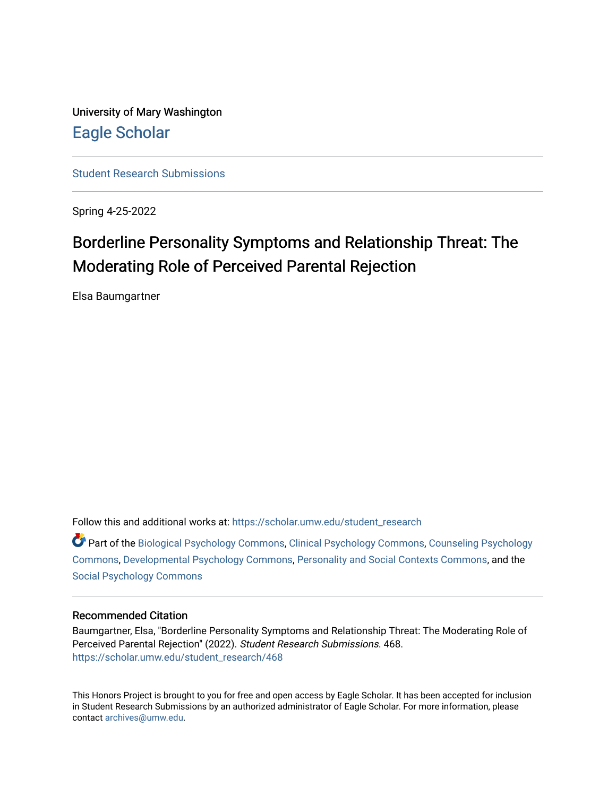University of Mary Washington [Eagle Scholar](https://scholar.umw.edu/) 

[Student Research Submissions](https://scholar.umw.edu/student_research) 

Spring 4-25-2022

# Borderline Personality Symptoms and Relationship Threat: The Moderating Role of Perceived Parental Rejection

Elsa Baumgartner

Follow this and additional works at: [https://scholar.umw.edu/student\\_research](https://scholar.umw.edu/student_research?utm_source=scholar.umw.edu%2Fstudent_research%2F468&utm_medium=PDF&utm_campaign=PDFCoverPages)

Part of the [Biological Psychology Commons,](https://network.bepress.com/hgg/discipline/405?utm_source=scholar.umw.edu%2Fstudent_research%2F468&utm_medium=PDF&utm_campaign=PDFCoverPages) [Clinical Psychology Commons,](https://network.bepress.com/hgg/discipline/406?utm_source=scholar.umw.edu%2Fstudent_research%2F468&utm_medium=PDF&utm_campaign=PDFCoverPages) [Counseling Psychology](https://network.bepress.com/hgg/discipline/1044?utm_source=scholar.umw.edu%2Fstudent_research%2F468&utm_medium=PDF&utm_campaign=PDFCoverPages)  [Commons](https://network.bepress.com/hgg/discipline/1044?utm_source=scholar.umw.edu%2Fstudent_research%2F468&utm_medium=PDF&utm_campaign=PDFCoverPages), [Developmental Psychology Commons,](https://network.bepress.com/hgg/discipline/410?utm_source=scholar.umw.edu%2Fstudent_research%2F468&utm_medium=PDF&utm_campaign=PDFCoverPages) [Personality and Social Contexts Commons](https://network.bepress.com/hgg/discipline/413?utm_source=scholar.umw.edu%2Fstudent_research%2F468&utm_medium=PDF&utm_campaign=PDFCoverPages), and the [Social Psychology Commons](https://network.bepress.com/hgg/discipline/414?utm_source=scholar.umw.edu%2Fstudent_research%2F468&utm_medium=PDF&utm_campaign=PDFCoverPages)

### Recommended Citation

Baumgartner, Elsa, "Borderline Personality Symptoms and Relationship Threat: The Moderating Role of Perceived Parental Rejection" (2022). Student Research Submissions. 468. [https://scholar.umw.edu/student\\_research/468](https://scholar.umw.edu/student_research/468?utm_source=scholar.umw.edu%2Fstudent_research%2F468&utm_medium=PDF&utm_campaign=PDFCoverPages)

This Honors Project is brought to you for free and open access by Eagle Scholar. It has been accepted for inclusion in Student Research Submissions by an authorized administrator of Eagle Scholar. For more information, please contact [archives@umw.edu](mailto:archives@umw.edu).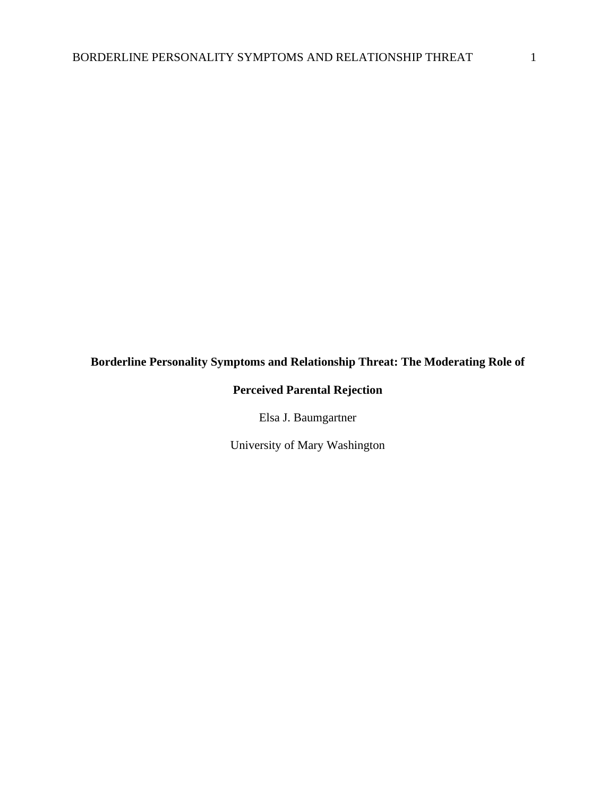# **Borderline Personality Symptoms and Relationship Threat: The Moderating Role of**

# **Perceived Parental Rejection**

Elsa J. Baumgartner

University of Mary Washington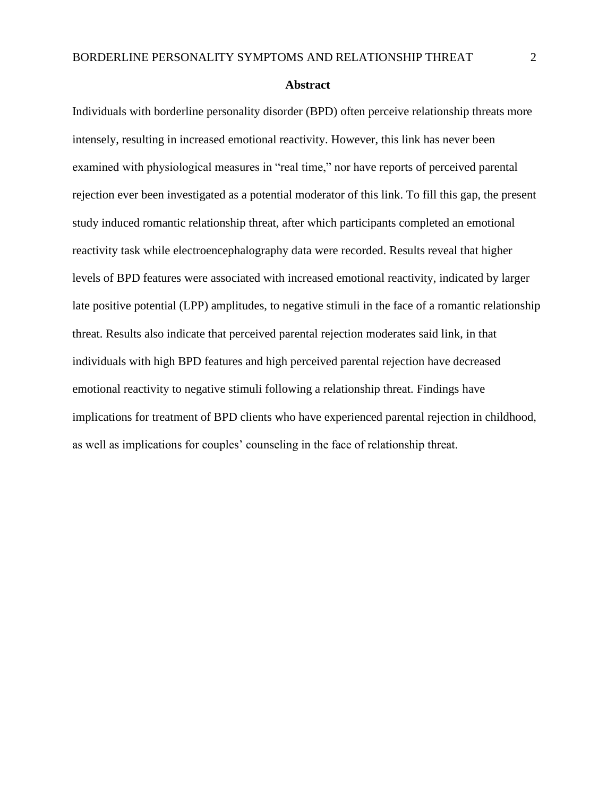#### **Abstract**

Individuals with borderline personality disorder (BPD) often perceive relationship threats more intensely, resulting in increased emotional reactivity. However, this link has never been examined with physiological measures in "real time," nor have reports of perceived parental rejection ever been investigated as a potential moderator of this link. To fill this gap, the present study induced romantic relationship threat, after which participants completed an emotional reactivity task while electroencephalography data were recorded. Results reveal that higher levels of BPD features were associated with increased emotional reactivity, indicated by larger late positive potential (LPP) amplitudes, to negative stimuli in the face of a romantic relationship threat. Results also indicate that perceived parental rejection moderates said link, in that individuals with high BPD features and high perceived parental rejection have decreased emotional reactivity to negative stimuli following a relationship threat. Findings have implications for treatment of BPD clients who have experienced parental rejection in childhood, as well as implications for couples' counseling in the face of relationship threat.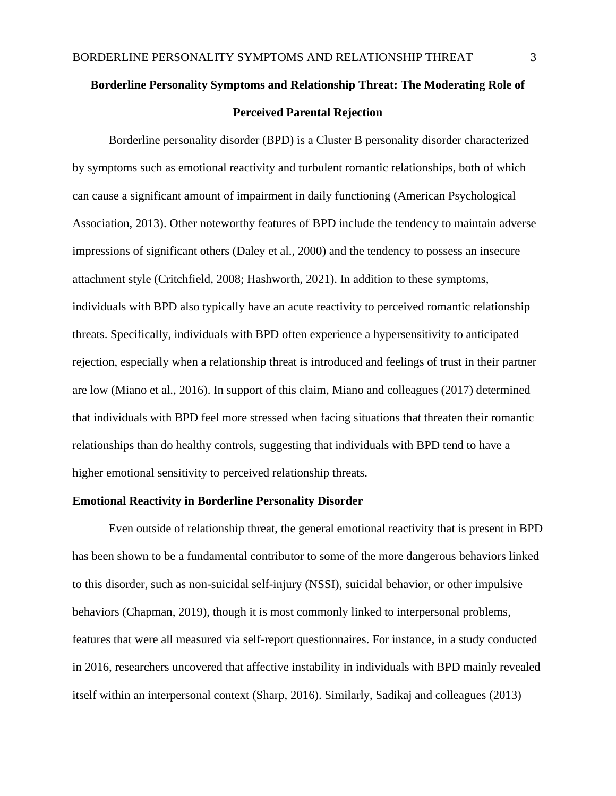# **Borderline Personality Symptoms and Relationship Threat: The Moderating Role of Perceived Parental Rejection**

Borderline personality disorder (BPD) is a Cluster B personality disorder characterized by symptoms such as emotional reactivity and turbulent romantic relationships, both of which can cause a significant amount of impairment in daily functioning (American Psychological Association, 2013). Other noteworthy features of BPD include the tendency to maintain adverse impressions of significant others (Daley et al., 2000) and the tendency to possess an insecure attachment style (Critchfield, 2008; Hashworth, 2021). In addition to these symptoms, individuals with BPD also typically have an acute reactivity to perceived romantic relationship threats. Specifically, individuals with BPD often experience a hypersensitivity to anticipated rejection, especially when a relationship threat is introduced and feelings of trust in their partner are low (Miano et al., 2016). In support of this claim, Miano and colleagues (2017) determined that individuals with BPD feel more stressed when facing situations that threaten their romantic relationships than do healthy controls, suggesting that individuals with BPD tend to have a higher emotional sensitivity to perceived relationship threats.

#### **Emotional Reactivity in Borderline Personality Disorder**

Even outside of relationship threat, the general emotional reactivity that is present in BPD has been shown to be a fundamental contributor to some of the more dangerous behaviors linked to this disorder, such as non-suicidal self-injury (NSSI), suicidal behavior, or other impulsive behaviors (Chapman, 2019), though it is most commonly linked to interpersonal problems, features that were all measured via self-report questionnaires. For instance, in a study conducted in 2016, researchers uncovered that affective instability in individuals with BPD mainly revealed itself within an interpersonal context (Sharp, 2016). Similarly, Sadikaj and colleagues (2013)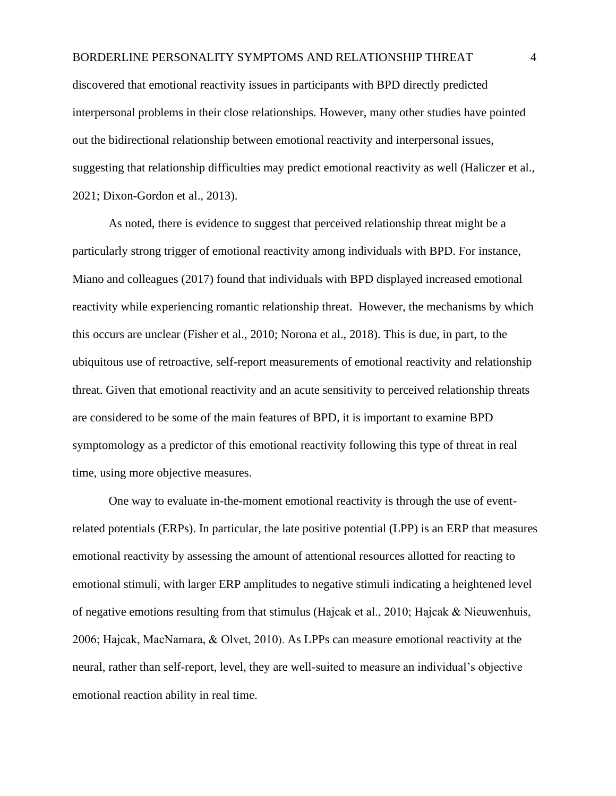discovered that emotional reactivity issues in participants with BPD directly predicted interpersonal problems in their close relationships. However, many other studies have pointed out the bidirectional relationship between emotional reactivity and interpersonal issues, suggesting that relationship difficulties may predict emotional reactivity as well (Haliczer et al., 2021; Dixon-Gordon et al., 2013).

As noted, there is evidence to suggest that perceived relationship threat might be a particularly strong trigger of emotional reactivity among individuals with BPD. For instance, Miano and colleagues (2017) found that individuals with BPD displayed increased emotional reactivity while experiencing romantic relationship threat. However, the mechanisms by which this occurs are unclear (Fisher et al., 2010; Norona et al., 2018). This is due, in part, to the ubiquitous use of retroactive, self-report measurements of emotional reactivity and relationship threat. Given that emotional reactivity and an acute sensitivity to perceived relationship threats are considered to be some of the main features of BPD, it is important to examine BPD symptomology as a predictor of this emotional reactivity following this type of threat in real time, using more objective measures.

One way to evaluate in-the-moment emotional reactivity is through the use of eventrelated potentials (ERPs). In particular, the late positive potential (LPP) is an ERP that measures emotional reactivity by assessing the amount of attentional resources allotted for reacting to emotional stimuli, with larger ERP amplitudes to negative stimuli indicating a heightened level of negative emotions resulting from that stimulus (Hajcak et al., 2010; Hajcak & Nieuwenhuis, 2006; Hajcak, MacNamara, & Olvet, 2010). As LPPs can measure emotional reactivity at the neural, rather than self-report, level, they are well-suited to measure an individual's objective emotional reaction ability in real time.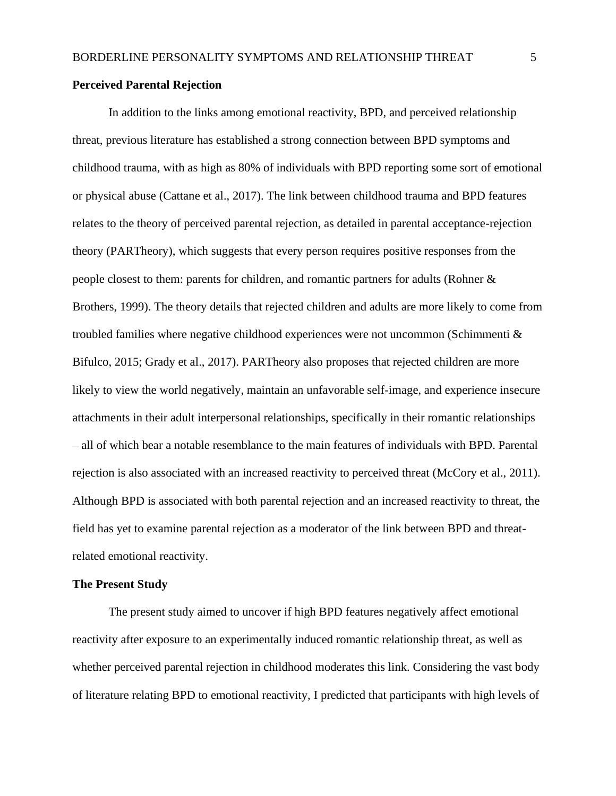### **Perceived Parental Rejection**

In addition to the links among emotional reactivity, BPD, and perceived relationship threat, previous literature has established a strong connection between BPD symptoms and childhood trauma, with as high as 80% of individuals with BPD reporting some sort of emotional or physical abuse (Cattane et al., 2017). The link between childhood trauma and BPD features relates to the theory of perceived parental rejection, as detailed in parental acceptance-rejection theory (PARTheory), which suggests that every person requires positive responses from the people closest to them: parents for children, and romantic partners for adults (Rohner & Brothers, 1999). The theory details that rejected children and adults are more likely to come from troubled families where negative childhood experiences were not uncommon (Schimmenti & Bifulco, 2015; Grady et al., 2017). PARTheory also proposes that rejected children are more likely to view the world negatively, maintain an unfavorable self-image, and experience insecure attachments in their adult interpersonal relationships, specifically in their romantic relationships – all of which bear a notable resemblance to the main features of individuals with BPD. Parental rejection is also associated with an increased reactivity to perceived threat (McCory et al., 2011). Although BPD is associated with both parental rejection and an increased reactivity to threat, the field has yet to examine parental rejection as a moderator of the link between BPD and threatrelated emotional reactivity.

#### **The Present Study**

The present study aimed to uncover if high BPD features negatively affect emotional reactivity after exposure to an experimentally induced romantic relationship threat, as well as whether perceived parental rejection in childhood moderates this link. Considering the vast body of literature relating BPD to emotional reactivity, I predicted that participants with high levels of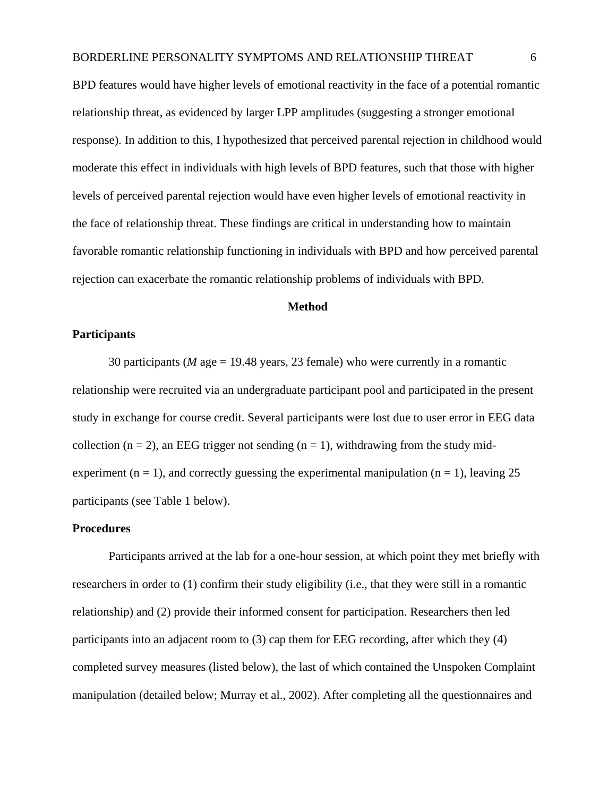BPD features would have higher levels of emotional reactivity in the face of a potential romantic relationship threat, as evidenced by larger LPP amplitudes (suggesting a stronger emotional response). In addition to this, I hypothesized that perceived parental rejection in childhood would moderate this effect in individuals with high levels of BPD features, such that those with higher levels of perceived parental rejection would have even higher levels of emotional reactivity in the face of relationship threat. These findings are critical in understanding how to maintain favorable romantic relationship functioning in individuals with BPD and how perceived parental rejection can exacerbate the romantic relationship problems of individuals with BPD.

## **Method**

### **Participants**

30 participants (*M* age = 19.48 years, 23 female) who were currently in a romantic relationship were recruited via an undergraduate participant pool and participated in the present study in exchange for course credit. Several participants were lost due to user error in EEG data collection ( $n = 2$ ), an EEG trigger not sending ( $n = 1$ ), withdrawing from the study midexperiment (n = 1), and correctly guessing the experimental manipulation (n = 1), leaving 25 participants (see Table 1 below).

#### **Procedures**

Participants arrived at the lab for a one-hour session, at which point they met briefly with researchers in order to (1) confirm their study eligibility (i.e., that they were still in a romantic relationship) and (2) provide their informed consent for participation. Researchers then led participants into an adjacent room to (3) cap them for EEG recording, after which they (4) completed survey measures (listed below), the last of which contained the Unspoken Complaint manipulation (detailed below; Murray et al., 2002). After completing all the questionnaires and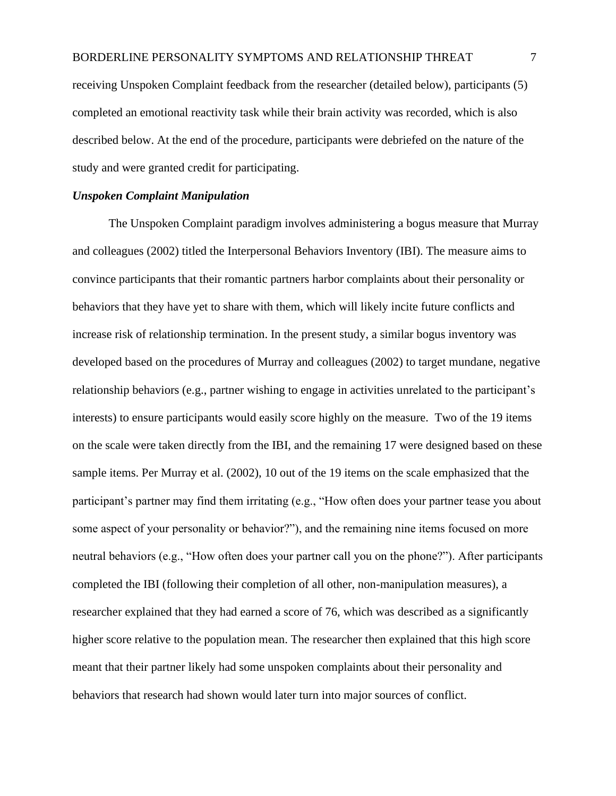receiving Unspoken Complaint feedback from the researcher (detailed below), participants (5) completed an emotional reactivity task while their brain activity was recorded, which is also described below. At the end of the procedure, participants were debriefed on the nature of the study and were granted credit for participating.

# *Unspoken Complaint Manipulation*

The Unspoken Complaint paradigm involves administering a bogus measure that Murray and colleagues (2002) titled the Interpersonal Behaviors Inventory (IBI). The measure aims to convince participants that their romantic partners harbor complaints about their personality or behaviors that they have yet to share with them, which will likely incite future conflicts and increase risk of relationship termination. In the present study, a similar bogus inventory was developed based on the procedures of Murray and colleagues (2002) to target mundane, negative relationship behaviors (e.g., partner wishing to engage in activities unrelated to the participant's interests) to ensure participants would easily score highly on the measure. Two of the 19 items on the scale were taken directly from the IBI, and the remaining 17 were designed based on these sample items. Per Murray et al. (2002), 10 out of the 19 items on the scale emphasized that the participant's partner may find them irritating (e.g., "How often does your partner tease you about some aspect of your personality or behavior?"), and the remaining nine items focused on more neutral behaviors (e.g., "How often does your partner call you on the phone?"). After participants completed the IBI (following their completion of all other, non-manipulation measures), a researcher explained that they had earned a score of 76, which was described as a significantly higher score relative to the population mean. The researcher then explained that this high score meant that their partner likely had some unspoken complaints about their personality and behaviors that research had shown would later turn into major sources of conflict.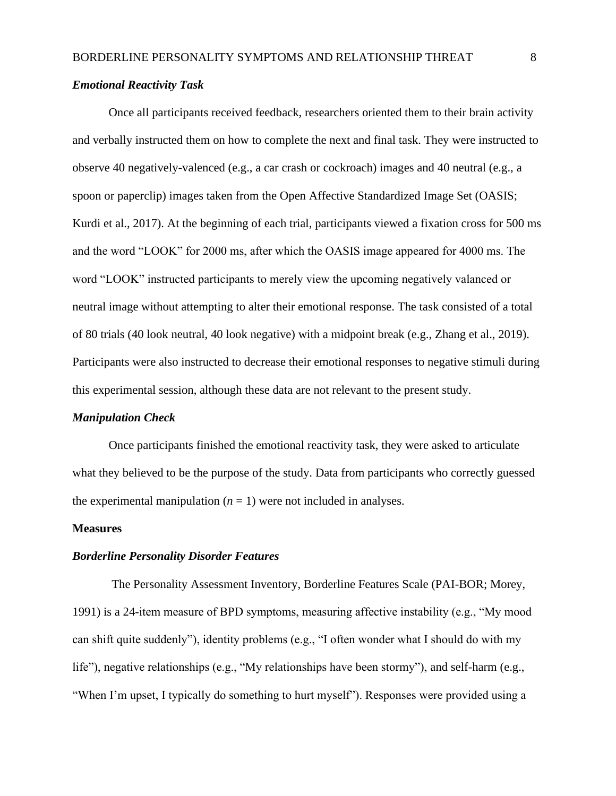#### *Emotional Reactivity Task*

Once all participants received feedback, researchers oriented them to their brain activity and verbally instructed them on how to complete the next and final task. They were instructed to observe 40 negatively-valenced (e.g., a car crash or cockroach) images and 40 neutral (e.g., a spoon or paperclip) images taken from the Open Affective Standardized Image Set (OASIS; Kurdi et al., 2017). At the beginning of each trial, participants viewed a fixation cross for 500 ms and the word "LOOK" for 2000 ms, after which the OASIS image appeared for 4000 ms. The word "LOOK" instructed participants to merely view the upcoming negatively valanced or neutral image without attempting to alter their emotional response. The task consisted of a total of 80 trials (40 look neutral, 40 look negative) with a midpoint break (e.g., Zhang et al., 2019). Participants were also instructed to decrease their emotional responses to negative stimuli during this experimental session, although these data are not relevant to the present study.

#### *Manipulation Check*

Once participants finished the emotional reactivity task, they were asked to articulate what they believed to be the purpose of the study. Data from participants who correctly guessed the experimental manipulation  $(n = 1)$  were not included in analyses.

#### **Measures**

#### *Borderline Personality Disorder Features*

The Personality Assessment Inventory, Borderline Features Scale (PAI-BOR; Morey, 1991) is a 24-item measure of BPD symptoms, measuring affective instability (e.g., "My mood can shift quite suddenly"), identity problems (e.g., "I often wonder what I should do with my life"), negative relationships (e.g., "My relationships have been stormy"), and self-harm (e.g., "When I'm upset, I typically do something to hurt myself"). Responses were provided using a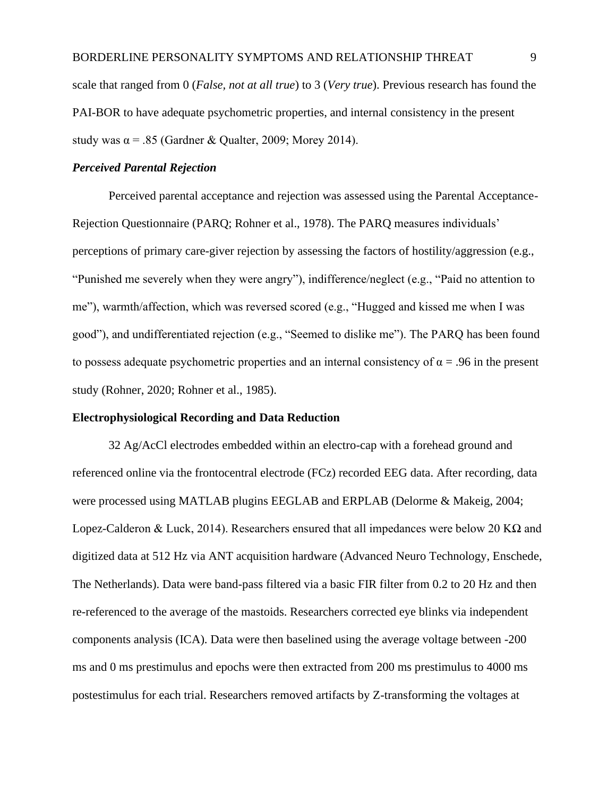scale that ranged from 0 (*False, not at all true*) to 3 (*Very true*). Previous research has found the PAI-BOR to have adequate psychometric properties, and internal consistency in the present study was  $\alpha = .85$  (Gardner & Qualter, 2009; Morey 2014).

### *Perceived Parental Rejection*

Perceived parental acceptance and rejection was assessed using the Parental Acceptance-Rejection Questionnaire (PARQ; Rohner et al., 1978). The PARQ measures individuals' perceptions of primary care-giver rejection by assessing the factors of hostility/aggression (e.g., "Punished me severely when they were angry"), indifference/neglect (e.g., "Paid no attention to me"), warmth/affection, which was reversed scored (e.g., "Hugged and kissed me when I was good"), and undifferentiated rejection (e.g., "Seemed to dislike me"). The PARQ has been found to possess adequate psychometric properties and an internal consistency of  $\alpha = .96$  in the present study (Rohner, 2020; Rohner et al., 1985).

#### **Electrophysiological Recording and Data Reduction**

32 Ag/AcCl electrodes embedded within an electro-cap with a forehead ground and referenced online via the frontocentral electrode (FCz) recorded EEG data. After recording, data were processed using MATLAB plugins EEGLAB and ERPLAB (Delorme & Makeig, 2004; Lopez-Calderon & Luck, 2014). Researchers ensured that all impedances were below 20 KΩ and digitized data at 512 Hz via ANT acquisition hardware (Advanced Neuro Technology, Enschede, The Netherlands). Data were band-pass filtered via a basic FIR filter from 0.2 to 20 Hz and then re-referenced to the average of the mastoids. Researchers corrected eye blinks via independent components analysis (ICA). Data were then baselined using the average voltage between -200 ms and 0 ms prestimulus and epochs were then extracted from 200 ms prestimulus to 4000 ms postestimulus for each trial. Researchers removed artifacts by Z-transforming the voltages at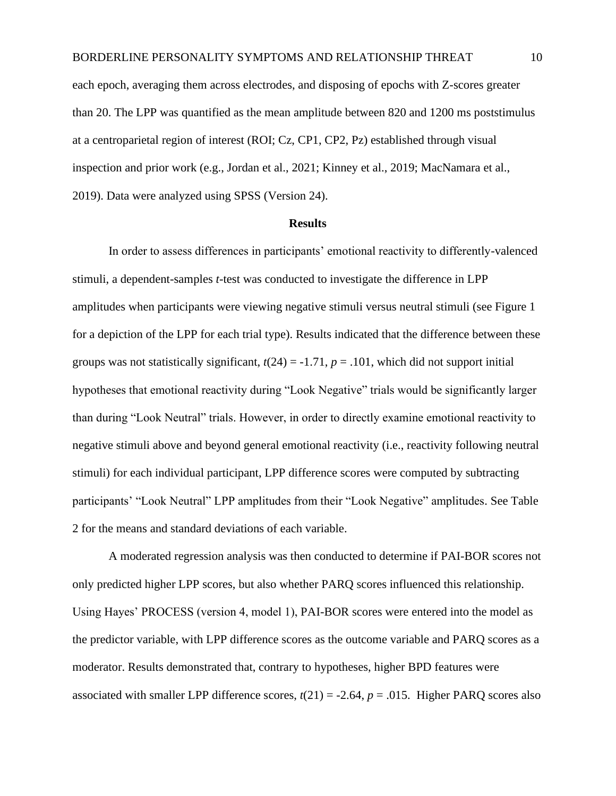each epoch, averaging them across electrodes, and disposing of epochs with Z-scores greater than 20. The LPP was quantified as the mean amplitude between 820 and 1200 ms poststimulus at a centroparietal region of interest (ROI; Cz, CP1, CP2, Pz) established through visual inspection and prior work (e.g., Jordan et al., 2021; Kinney et al., 2019; MacNamara et al., 2019). Data were analyzed using SPSS (Version 24).

#### **Results**

In order to assess differences in participants' emotional reactivity to differently-valenced stimuli, a dependent-samples *t*-test was conducted to investigate the difference in LPP amplitudes when participants were viewing negative stimuli versus neutral stimuli (see Figure 1 for a depiction of the LPP for each trial type). Results indicated that the difference between these groups was not statistically significant,  $t(24) = -1.71$ ,  $p = .101$ , which did not support initial hypotheses that emotional reactivity during "Look Negative" trials would be significantly larger than during "Look Neutral" trials. However, in order to directly examine emotional reactivity to negative stimuli above and beyond general emotional reactivity (i.e., reactivity following neutral stimuli) for each individual participant, LPP difference scores were computed by subtracting participants' "Look Neutral" LPP amplitudes from their "Look Negative" amplitudes. See Table 2 for the means and standard deviations of each variable.

A moderated regression analysis was then conducted to determine if PAI-BOR scores not only predicted higher LPP scores, but also whether PARQ scores influenced this relationship. Using Hayes' PROCESS (version 4, model 1), PAI-BOR scores were entered into the model as the predictor variable, with LPP difference scores as the outcome variable and PARQ scores as a moderator. Results demonstrated that, contrary to hypotheses, higher BPD features were associated with smaller LPP difference scores,  $t(21) = -2.64$ ,  $p = .015$ . Higher PARQ scores also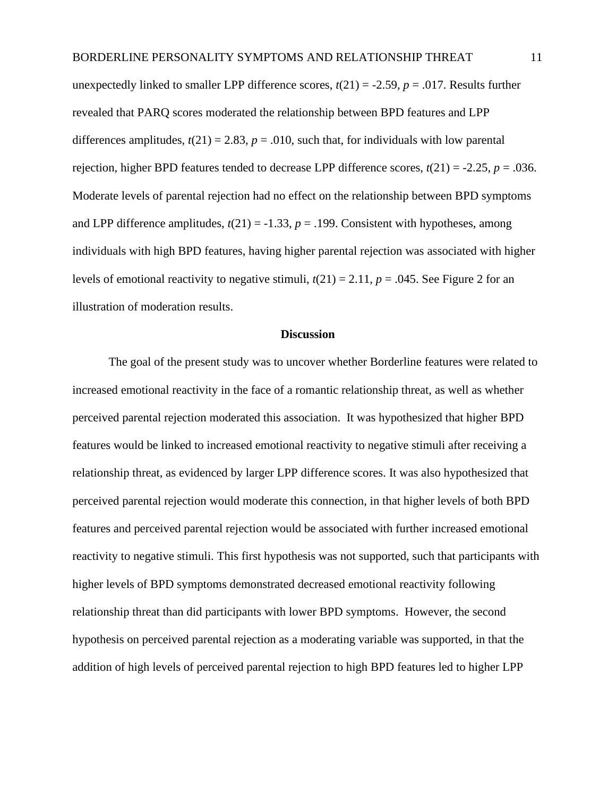unexpectedly linked to smaller LPP difference scores,  $t(21) = -2.59$ ,  $p = .017$ . Results further revealed that PARQ scores moderated the relationship between BPD features and LPP differences amplitudes,  $t(21) = 2.83$ ,  $p = .010$ , such that, for individuals with low parental rejection, higher BPD features tended to decrease LPP difference scores,  $t(21) = -2.25$ ,  $p = .036$ . Moderate levels of parental rejection had no effect on the relationship between BPD symptoms and LPP difference amplitudes,  $t(21) = -1.33$ ,  $p = .199$ . Consistent with hypotheses, among individuals with high BPD features, having higher parental rejection was associated with higher levels of emotional reactivity to negative stimuli,  $t(21) = 2.11$ ,  $p = .045$ . See Figure 2 for an illustration of moderation results.

#### **Discussion**

The goal of the present study was to uncover whether Borderline features were related to increased emotional reactivity in the face of a romantic relationship threat, as well as whether perceived parental rejection moderated this association. It was hypothesized that higher BPD features would be linked to increased emotional reactivity to negative stimuli after receiving a relationship threat, as evidenced by larger LPP difference scores. It was also hypothesized that perceived parental rejection would moderate this connection, in that higher levels of both BPD features and perceived parental rejection would be associated with further increased emotional reactivity to negative stimuli. This first hypothesis was not supported, such that participants with higher levels of BPD symptoms demonstrated decreased emotional reactivity following relationship threat than did participants with lower BPD symptoms. However, the second hypothesis on perceived parental rejection as a moderating variable was supported, in that the addition of high levels of perceived parental rejection to high BPD features led to higher LPP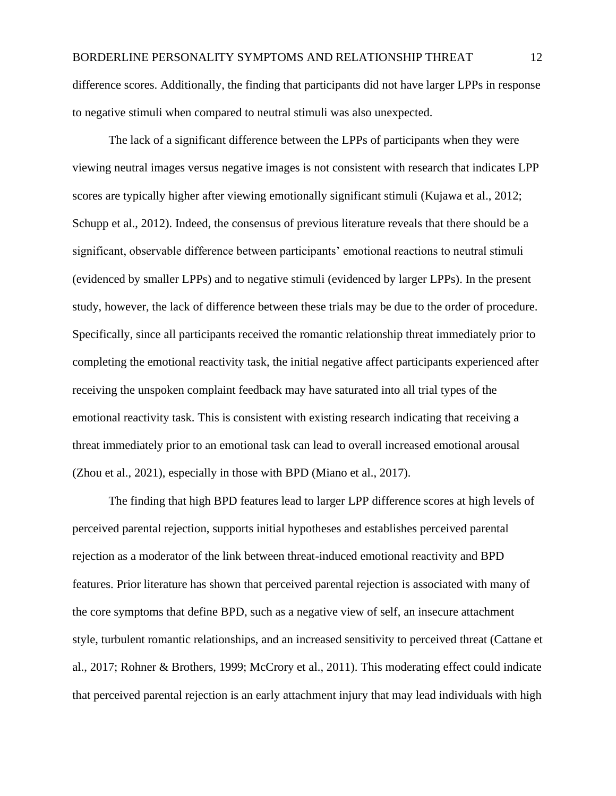difference scores. Additionally, the finding that participants did not have larger LPPs in response to negative stimuli when compared to neutral stimuli was also unexpected.

The lack of a significant difference between the LPPs of participants when they were viewing neutral images versus negative images is not consistent with research that indicates LPP scores are typically higher after viewing emotionally significant stimuli (Kujawa et al., 2012; Schupp et al., 2012). Indeed, the consensus of previous literature reveals that there should be a significant, observable difference between participants' emotional reactions to neutral stimuli (evidenced by smaller LPPs) and to negative stimuli (evidenced by larger LPPs). In the present study, however, the lack of difference between these trials may be due to the order of procedure. Specifically, since all participants received the romantic relationship threat immediately prior to completing the emotional reactivity task, the initial negative affect participants experienced after receiving the unspoken complaint feedback may have saturated into all trial types of the emotional reactivity task. This is consistent with existing research indicating that receiving a threat immediately prior to an emotional task can lead to overall increased emotional arousal (Zhou et al., 2021), especially in those with BPD (Miano et al., 2017).

The finding that high BPD features lead to larger LPP difference scores at high levels of perceived parental rejection, supports initial hypotheses and establishes perceived parental rejection as a moderator of the link between threat-induced emotional reactivity and BPD features. Prior literature has shown that perceived parental rejection is associated with many of the core symptoms that define BPD, such as a negative view of self, an insecure attachment style, turbulent romantic relationships, and an increased sensitivity to perceived threat (Cattane et al., 2017; Rohner & Brothers, 1999; McCrory et al., 2011). This moderating effect could indicate that perceived parental rejection is an early attachment injury that may lead individuals with high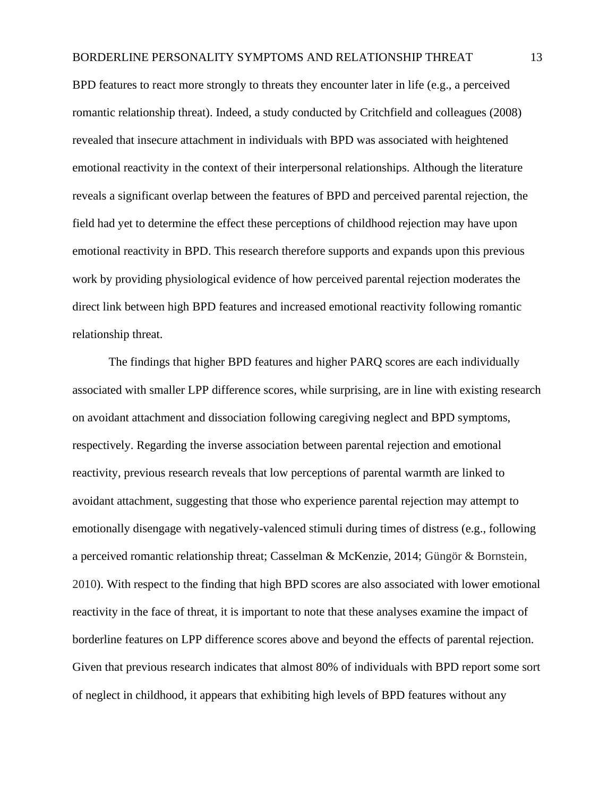BPD features to react more strongly to threats they encounter later in life (e.g., a perceived romantic relationship threat). Indeed, a study conducted by Critchfield and colleagues (2008) revealed that insecure attachment in individuals with BPD was associated with heightened emotional reactivity in the context of their interpersonal relationships. Although the literature reveals a significant overlap between the features of BPD and perceived parental rejection, the field had yet to determine the effect these perceptions of childhood rejection may have upon emotional reactivity in BPD. This research therefore supports and expands upon this previous work by providing physiological evidence of how perceived parental rejection moderates the direct link between high BPD features and increased emotional reactivity following romantic relationship threat.

The findings that higher BPD features and higher PARQ scores are each individually associated with smaller LPP difference scores, while surprising, are in line with existing research on avoidant attachment and dissociation following caregiving neglect and BPD symptoms, respectively. Regarding the inverse association between parental rejection and emotional reactivity, previous research reveals that low perceptions of parental warmth are linked to avoidant attachment, suggesting that those who experience parental rejection may attempt to emotionally disengage with negatively-valenced stimuli during times of distress (e.g., following a perceived romantic relationship threat; Casselman & McKenzie, 2014; Güngör & Bornstein, 2010). With respect to the finding that high BPD scores are also associated with lower emotional reactivity in the face of threat, it is important to note that these analyses examine the impact of borderline features on LPP difference scores above and beyond the effects of parental rejection. Given that previous research indicates that almost 80% of individuals with BPD report some sort of neglect in childhood, it appears that exhibiting high levels of BPD features without any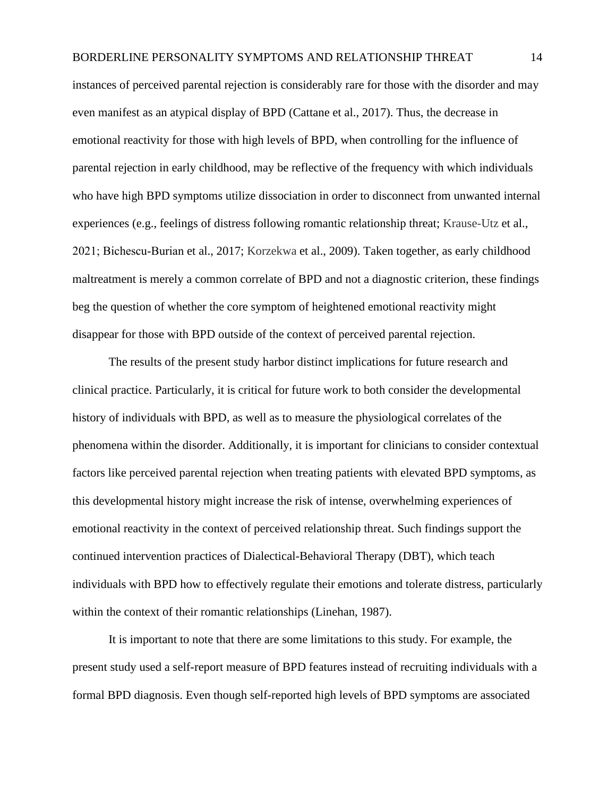## BORDERLINE PERSONALITY SYMPTOMS AND RELATIONSHIP THREAT 14

instances of perceived parental rejection is considerably rare for those with the disorder and may even manifest as an atypical display of BPD (Cattane et al., 2017). Thus, the decrease in emotional reactivity for those with high levels of BPD, when controlling for the influence of parental rejection in early childhood, may be reflective of the frequency with which individuals who have high BPD symptoms utilize dissociation in order to disconnect from unwanted internal experiences (e.g., feelings of distress following romantic relationship threat; Krause-Utz et al., 2021; Bichescu‐Burian et al., 2017; Korzekwa et al., 2009). Taken together, as early childhood maltreatment is merely a common correlate of BPD and not a diagnostic criterion, these findings beg the question of whether the core symptom of heightened emotional reactivity might disappear for those with BPD outside of the context of perceived parental rejection.

The results of the present study harbor distinct implications for future research and clinical practice. Particularly, it is critical for future work to both consider the developmental history of individuals with BPD, as well as to measure the physiological correlates of the phenomena within the disorder. Additionally, it is important for clinicians to consider contextual factors like perceived parental rejection when treating patients with elevated BPD symptoms, as this developmental history might increase the risk of intense, overwhelming experiences of emotional reactivity in the context of perceived relationship threat. Such findings support the continued intervention practices of Dialectical-Behavioral Therapy (DBT), which teach individuals with BPD how to effectively regulate their emotions and tolerate distress, particularly within the context of their romantic relationships (Linehan, 1987).

It is important to note that there are some limitations to this study. For example, the present study used a self-report measure of BPD features instead of recruiting individuals with a formal BPD diagnosis. Even though self-reported high levels of BPD symptoms are associated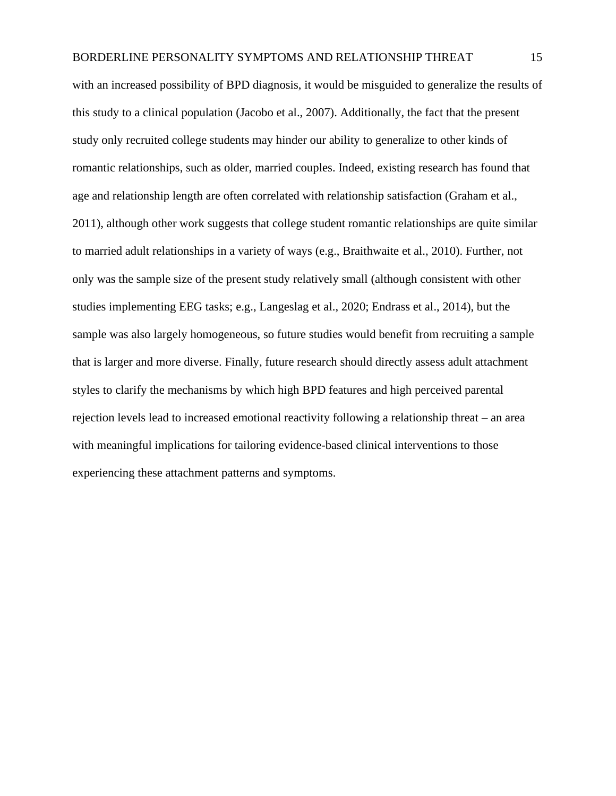## BORDERLINE PERSONALITY SYMPTOMS AND RELATIONSHIP THREAT 15

with an increased possibility of BPD diagnosis, it would be misguided to generalize the results of this study to a clinical population (Jacobo et al., 2007). Additionally, the fact that the present study only recruited college students may hinder our ability to generalize to other kinds of romantic relationships, such as older, married couples. Indeed, existing research has found that age and relationship length are often correlated with relationship satisfaction (Graham et al., 2011), although other work suggests that college student romantic relationships are quite similar to married adult relationships in a variety of ways (e.g., Braithwaite et al., 2010). Further, not only was the sample size of the present study relatively small (although consistent with other studies implementing EEG tasks; e.g., Langeslag et al., 2020; Endrass et al., 2014), but the sample was also largely homogeneous, so future studies would benefit from recruiting a sample that is larger and more diverse. Finally, future research should directly assess adult attachment styles to clarify the mechanisms by which high BPD features and high perceived parental rejection levels lead to increased emotional reactivity following a relationship threat – an area with meaningful implications for tailoring evidence-based clinical interventions to those experiencing these attachment patterns and symptoms.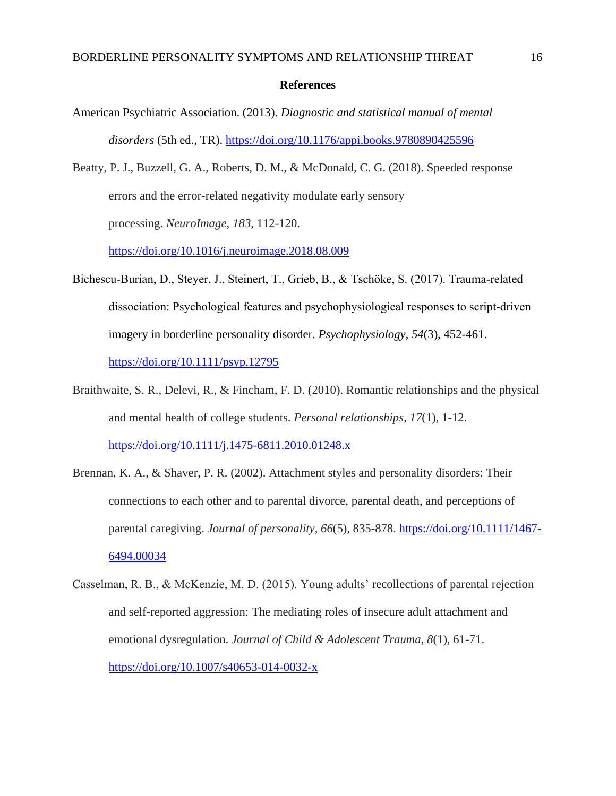#### **References**

- American Psychiatric Association. (2013). *Diagnostic and statistical manual of mental disorders* (5th ed., TR).<https://doi.org/10.1176/appi.books.9780890425596>
- Beatty, P. J., Buzzell, G. A., Roberts, D. M., & McDonald, C. G. (2018). Speeded response errors and the error-related negativity modulate early sensory processing. *NeuroImage*, *183*, 112-120.

<https://doi.org/10.1016/j.neuroimage.2018.08.009>

Bichescu‐Burian, D., Steyer, J., Steinert, T., Grieb, B., & Tschöke, S. (2017). Trauma‐related dissociation: Psychological features and psychophysiological responses to script‐driven imagery in borderline personality disorder. *Psychophysiology*, *54*(3), 452-461.

<https://doi.org/10.1111/psyp.12795>

Braithwaite, S. R., Delevi, R., & Fincham, F. D. (2010). Romantic relationships and the physical and mental health of college students. *Personal relationships*, *17*(1), 1-12.

<https://doi.org/10.1111/j.1475-6811.2010.01248.x>

- Brennan, K. A., & Shaver, P. R. (2002). Attachment styles and personality disorders: Their connections to each other and to parental divorce, parental death, and perceptions of parental caregiving. *Journal of personality*, *66*(5), 835-878. [https://doi.org/10.1111/1467-](https://doi.org/10.1111/1467-6494.00034) [6494.00034](https://doi.org/10.1111/1467-6494.00034)
- Casselman, R. B., & McKenzie, M. D. (2015). Young adults' recollections of parental rejection and self-reported aggression: The mediating roles of insecure adult attachment and emotional dysregulation. *Journal of Child & Adolescent Trauma*, *8*(1), 61-71. <https://doi.org/10.1007/s40653-014-0032-x>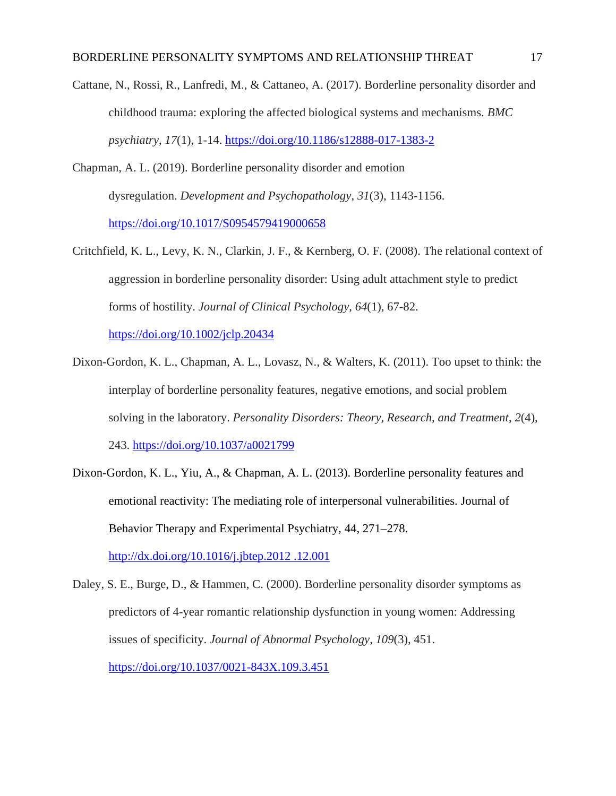Cattane, N., Rossi, R., Lanfredi, M., & Cattaneo, A. (2017). Borderline personality disorder and childhood trauma: exploring the affected biological systems and mechanisms. *BMC psychiatry*, *17*(1), 1-14.<https://doi.org/10.1186/s12888-017-1383-2>

- Chapman, A. L. (2019). Borderline personality disorder and emotion dysregulation. *Development and Psychopathology*, *31*(3), 1143-1156. <https://doi.org/10.1017/S0954579419000658>
- Critchfield, K. L., Levy, K. N., Clarkin, J. F., & Kernberg, O. F. (2008). The relational context of aggression in borderline personality disorder: Using adult attachment style to predict forms of hostility. *Journal of Clinical Psychology*, *64*(1), 67-82. <https://doi.org/10.1002/jclp.20434>

Dixon-Gordon, K. L., Chapman, A. L., Lovasz, N., & Walters, K. (2011). Too upset to think: the interplay of borderline personality features, negative emotions, and social problem solving in the laboratory. *Personality Disorders: Theory, Research, and Treatment*, *2*(4),

243.<https://doi.org/10.1037/a0021799>

Dixon-Gordon, K. L., Yiu, A., & Chapman, A. L. (2013). Borderline personality features and emotional reactivity: The mediating role of interpersonal vulnerabilities. Journal of Behavior Therapy and Experimental Psychiatry, 44, 271–278. [http://dx.doi.org/10.1016/j.jbtep.2012 .12.001](http://dx.doi.org/10.1016/j.jbtep.2012%20.12.001)

Daley, S. E., Burge, D., & Hammen, C. (2000). Borderline personality disorder symptoms as predictors of 4-year romantic relationship dysfunction in young women: Addressing issues of specificity. *Journal of Abnormal Psychology*, *109*(3), 451. <https://doi.org/10.1037/0021-843X.109.3.451>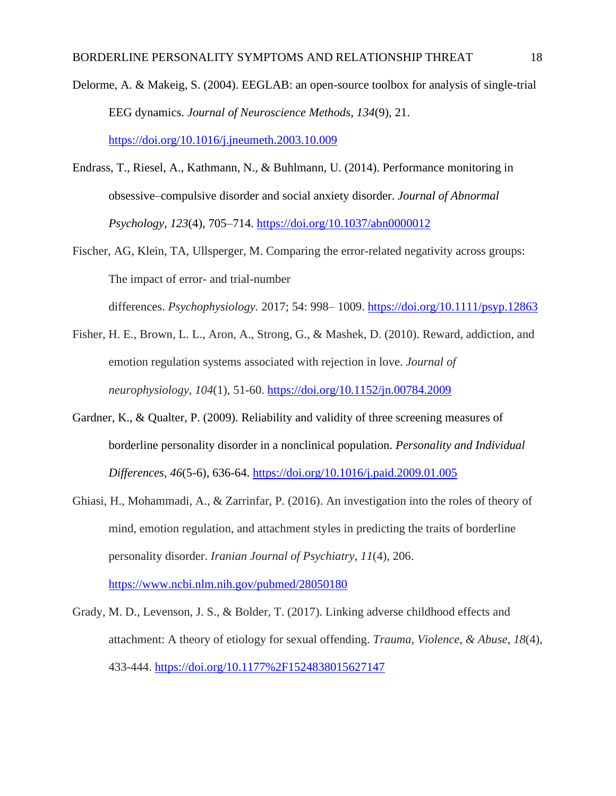Delorme, A. & Makeig, S. (2004). EEGLAB: an open-source toolbox for analysis of single-trial EEG dynamics. *Journal of Neuroscience Methods*, *134*(9), 21. <https://doi.org/10.1016/j.jneumeth.2003.10.009>

Endrass, T., Riesel, A., Kathmann, N., & Buhlmann, U. (2014). Performance monitoring in obsessive–compulsive disorder and social anxiety disorder. *Journal of Abnormal Psychology, 123*(4), 705–714. [https://doi.org/10.1037/abn0000012](https://psycnet.apa.org/doi/10.1037/abn0000012)

Fischer, AG, Klein, TA, Ullsperger, M. Comparing the error-related negativity across groups: The impact of error- and trial-number differences. *Psychophysiology.* 2017; 54: 998– 1009. <https://doi.org/10.1111/psyp.12863>

Fisher, H. E., Brown, L. L., Aron, A., Strong, G., & Mashek, D. (2010). Reward, addiction, and

emotion regulation systems associated with rejection in love. *Journal of neurophysiology*, *104*(1), 51-60.<https://doi.org/10.1152/jn.00784.2009>

- Gardner, K., & Qualter, P. (2009). Reliability and validity of three screening measures of borderline personality disorder in a nonclinical population. *Personality and Individual Differences*, *46*(5-6), 636-64.<https://doi.org/10.1016/j.paid.2009.01.005>
- Ghiasi, H., Mohammadi, A., & Zarrinfar, P. (2016). An investigation into the roles of theory of mind, emotion regulation, and attachment styles in predicting the traits of borderline personality disorder. *Iranian Journal of Psychiatry*, *11*(4), 206.

<https://www.ncbi.nlm.nih.gov/pubmed/28050180>

Grady, M. D., Levenson, J. S., & Bolder, T. (2017). Linking adverse childhood effects and attachment: A theory of etiology for sexual offending. *Trauma, Violence, & Abuse*, *18*(4), 433-444.<https://doi.org/10.1177%2F1524838015627147>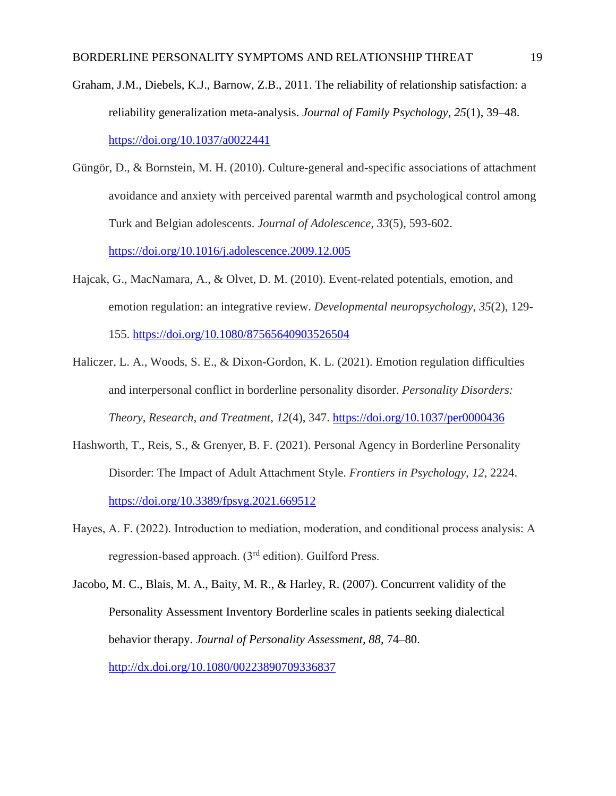- Graham, J.M., Diebels, K.J., Barnow, Z.B., 2011. The reliability of relationship satisfaction: a reliability generalization meta-analysis. *Journal of Family Psychology*, *25*(1), 39–48. <https://doi.org/10.1037/a0022441>
- Güngör, D., & Bornstein, M. H. (2010). Culture-general and-specific associations of attachment avoidance and anxiety with perceived parental warmth and psychological control among Turk and Belgian adolescents. *Journal of Adolescence*, *33*(5), 593-602. <https://doi.org/10.1016/j.adolescence.2009.12.005>
- Hajcak, G., MacNamara, A., & Olvet, D. M. (2010). Event-related potentials, emotion, and emotion regulation: an integrative review. *Developmental neuropsychology*, *35*(2), 129- 155.<https://doi.org/10.1080/87565640903526504>
- Haliczer, L. A., Woods, S. E., & Dixon-Gordon, K. L. (2021). Emotion regulation difficulties and interpersonal conflict in borderline personality disorder. *Personality Disorders: Theory, Research, and Treatment*, *12*(4), 347.<https://doi.org/10.1037/per0000436>
- Hashworth, T., Reis, S., & Grenyer, B. F. (2021). Personal Agency in Borderline Personality Disorder: The Impact of Adult Attachment Style. *Frontiers in Psychology*, *12*, 2224. <https://doi.org/10.3389/fpsyg.2021.669512>
- Hayes, A. F. (2022). Introduction to mediation, moderation, and conditional process analysis: A regression-based approach.  $3<sup>rd</sup>$  edition). Guilford Press.
- Jacobo, M. C., Blais, M. A., Baity, M. R., & Harley, R. (2007). Concurrent validity of the Personality Assessment Inventory Borderline scales in patients seeking dialectical behavior therapy. *Journal of Personality Assessment, 88,* 74–80. <http://dx.doi.org/10.1080/00223890709336837>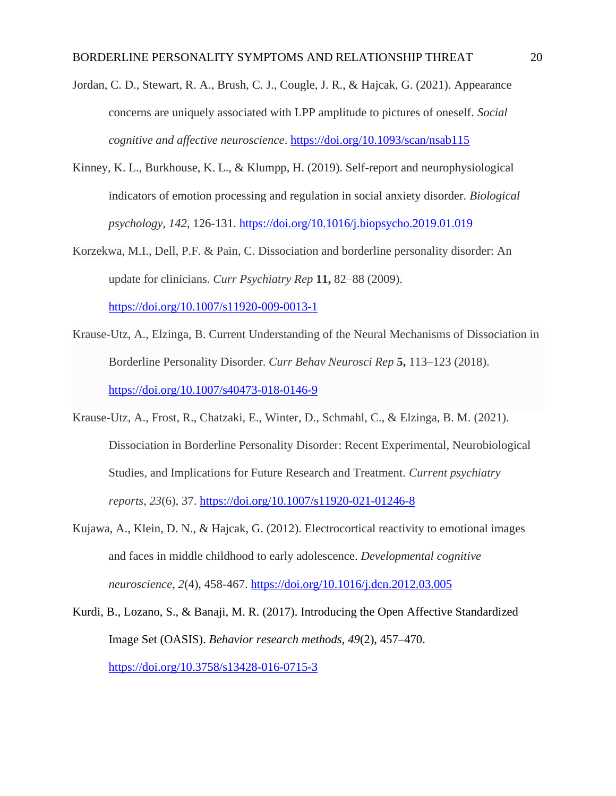- Jordan, C. D., Stewart, R. A., Brush, C. J., Cougle, J. R., & Hajcak, G. (2021). Appearance concerns are uniquely associated with LPP amplitude to pictures of oneself. *Social cognitive and affective neuroscience*.<https://doi.org/10.1093/scan/nsab115>
- Kinney, K. L., Burkhouse, K. L., & Klumpp, H. (2019). Self-report and neurophysiological indicators of emotion processing and regulation in social anxiety disorder. *Biological psychology*, *142*, 126-131.<https://doi.org/10.1016/j.biopsycho.2019.01.019>
- Korzekwa, M.I., Dell, P.F. & Pain, C. Dissociation and borderline personality disorder: An update for clinicians. *Curr Psychiatry Rep* **11,** 82–88 (2009). <https://doi.org/10.1007/s11920-009-0013-1>
- Krause-Utz, A., Elzinga, B. Current Understanding of the Neural Mechanisms of Dissociation in Borderline Personality Disorder. *Curr Behav Neurosci Rep* **5,** 113–123 (2018). <https://doi.org/10.1007/s40473-018-0146-9>
- Krause-Utz, A., Frost, R., Chatzaki, E., Winter, D., Schmahl, C., & Elzinga, B. M. (2021). Dissociation in Borderline Personality Disorder: Recent Experimental, Neurobiological Studies, and Implications for Future Research and Treatment. *Current psychiatry reports*, *23*(6), 37.<https://doi.org/10.1007/s11920-021-01246-8>
- Kujawa, A., Klein, D. N., & Hajcak, G. (2012). Electrocortical reactivity to emotional images and faces in middle childhood to early adolescence. *Developmental cognitive neuroscience*, *2*(4), 458-467. <https://doi.org/10.1016/j.dcn.2012.03.005>
- Kurdi, B., Lozano, S., & Banaji, M. R. (2017). Introducing the Open Affective Standardized Image Set (OASIS). *Behavior research methods*, *49*(2), 457–470. <https://doi.org/10.3758/s13428-016-0715-3>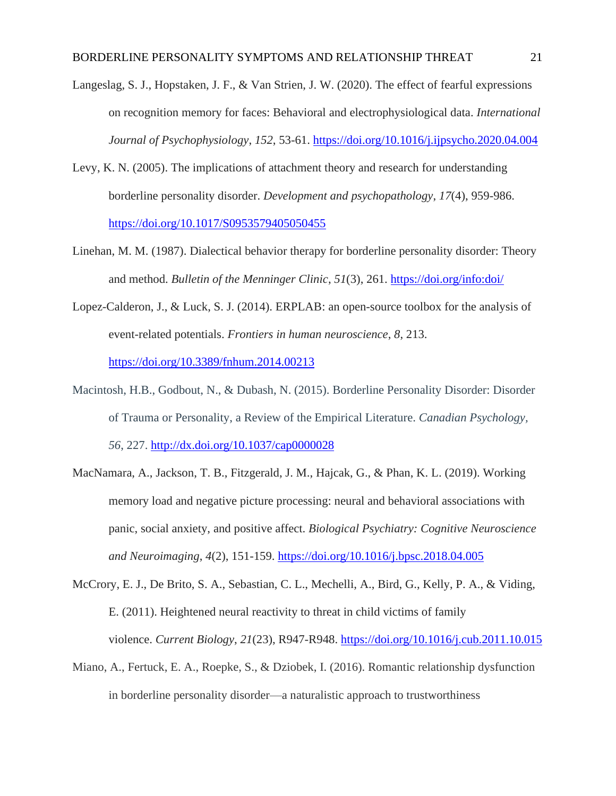- Langeslag, S. J., Hopstaken, J. F., & Van Strien, J. W. (2020). The effect of fearful expressions on recognition memory for faces: Behavioral and electrophysiological data. *International Journal of Psychophysiology*, *152*, 53-61.<https://doi.org/10.1016/j.ijpsycho.2020.04.004>
- Levy, K. N. (2005). The implications of attachment theory and research for understanding borderline personality disorder. *Development and psychopathology*, *17*(4), 959-986. <https://doi.org/10.1017/S0953579405050455>
- Linehan, M. M. (1987). Dialectical behavior therapy for borderline personality disorder: Theory and method. *Bulletin of the Menninger Clinic*, *51*(3), 261.<https://doi.org/info:doi/>
- Lopez-Calderon, J., & Luck, S. J. (2014). ERPLAB: an open-source toolbox for the analysis of event-related potentials. *Frontiers in human neuroscience*, *8*, 213. <https://doi.org/10.3389/fnhum.2014.00213>
- Macintosh, H.B., Godbout, N., & Dubash, N. (2015). Borderline Personality Disorder: Disorder of Trauma or Personality, a Review of the Empirical Literature. *Canadian Psychology, 56*, 227.<http://dx.doi.org/10.1037/cap0000028>
- MacNamara, A., Jackson, T. B., Fitzgerald, J. M., Hajcak, G., & Phan, K. L. (2019). Working memory load and negative picture processing: neural and behavioral associations with panic, social anxiety, and positive affect. *Biological Psychiatry: Cognitive Neuroscience and Neuroimaging*, *4*(2), 151-159.<https://doi.org/10.1016/j.bpsc.2018.04.005>
- McCrory, E. J., De Brito, S. A., Sebastian, C. L., Mechelli, A., Bird, G., Kelly, P. A., & Viding, E. (2011). Heightened neural reactivity to threat in child victims of family violence. *Current Biology*, *21*(23), R947-R948.<https://doi.org/10.1016/j.cub.2011.10.015>
- Miano, A., Fertuck, E. A., Roepke, S., & Dziobek, I. (2016). Romantic relationship dysfunction in borderline personality disorder—a naturalistic approach to trustworthiness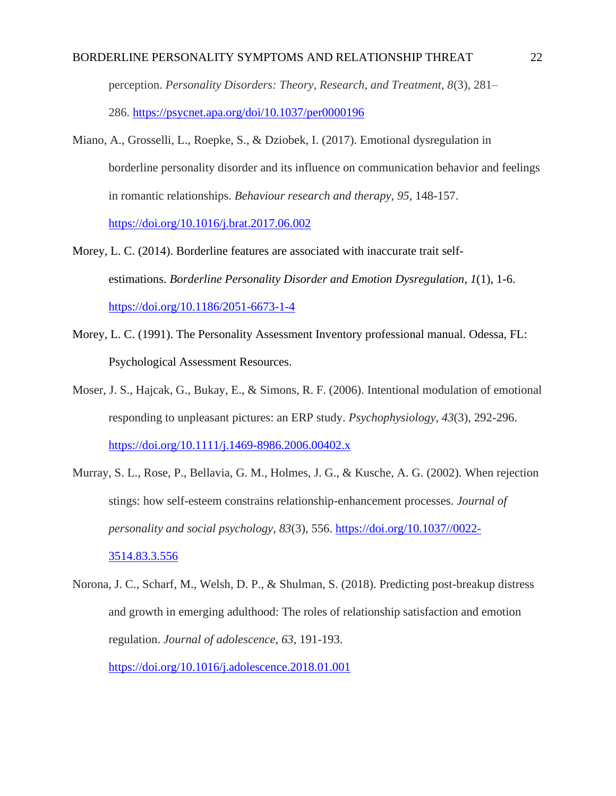## BORDERLINE PERSONALITY SYMPTOMS AND RELATIONSHIP THREAT 22

perception. *Personality Disorders: Theory, Research, and Treatment, 8*(3), 281– 286. <https://psycnet.apa.org/doi/10.1037/per0000196>

- Miano, A., Grosselli, L., Roepke, S., & Dziobek, I. (2017). Emotional dysregulation in borderline personality disorder and its influence on communication behavior and feelings in romantic relationships. *Behaviour research and therapy*, *95*, 148-157. <https://doi.org/10.1016/j.brat.2017.06.002>
- Morey, L. C. (2014). Borderline features are associated with inaccurate trait selfestimations. *Borderline Personality Disorder and Emotion Dysregulation*, *1*(1), 1-6. <https://doi.org/10.1186/2051-6673-1-4>
- Morey, L. C. (1991). The Personality Assessment Inventory professional manual. Odessa, FL: Psychological Assessment Resources.
- Moser, J. S., Hajcak, G., Bukay, E., & Simons, R. F. (2006). Intentional modulation of emotional responding to unpleasant pictures: an ERP study. *Psychophysiology*, *43*(3), 292-296. <https://doi.org/10.1111/j.1469-8986.2006.00402.x>
- Murray, S. L., Rose, P., Bellavia, G. M., Holmes, J. G., & Kusche, A. G. (2002). When rejection stings: how self-esteem constrains relationship-enhancement processes. *Journal of personality and social psychology*, *83*(3), 556. [https://doi.org/10.1037//0022-](https://doi.org/10.1037/0022-3514.83.3.556) [3514.83.3.556](https://doi.org/10.1037/0022-3514.83.3.556)
- Norona, J. C., Scharf, M., Welsh, D. P., & Shulman, S. (2018). Predicting post-breakup distress and growth in emerging adulthood: The roles of relationship satisfaction and emotion regulation. *Journal of adolescence*, *63*, 191-193. <https://doi.org/10.1016/j.adolescence.2018.01.001>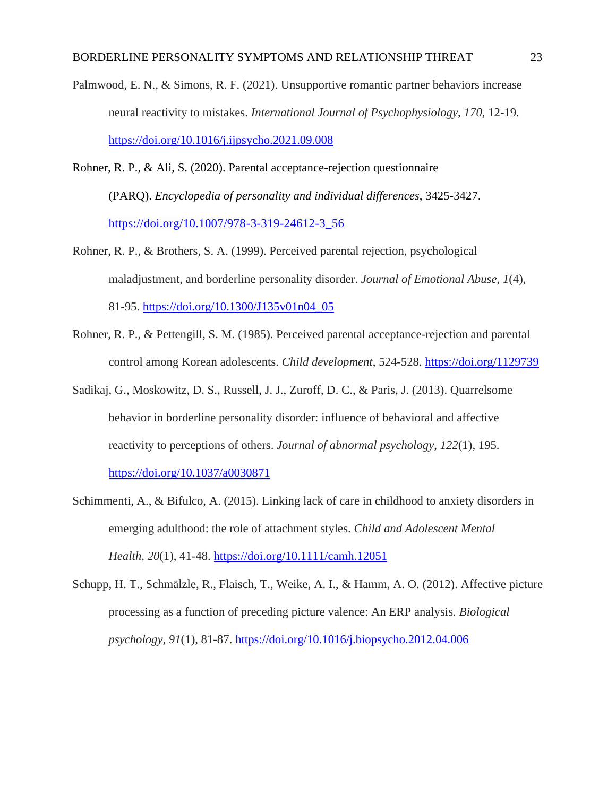Palmwood, E. N., & Simons, R. F. (2021). Unsupportive romantic partner behaviors increase neural reactivity to mistakes. *International Journal of Psychophysiology*, *170*, 12-19. <https://doi.org/10.1016/j.ijpsycho.2021.09.008>

- Rohner, R. P., & Ali, S. (2020). Parental acceptance-rejection questionnaire (PARQ). *Encyclopedia of personality and individual differences*, 3425-3427. [https://doi.org/10.1007/978-3-319-24612-3\\_56](https://doi.org/10.1007/978-3-319-24612-3_56)
- Rohner, R. P., & Brothers, S. A. (1999). Perceived parental rejection, psychological maladjustment, and borderline personality disorder. *Journal of Emotional Abuse*, *1*(4), 81-95. [https://doi.org/10.1300/J135v01n04\\_05](https://doi.org/10.1300/J135v01n04_05)
- Rohner, R. P., & Pettengill, S. M. (1985). Perceived parental acceptance-rejection and parental control among Korean adolescents. *Child development*, 524-528.<https://doi.org/1129739>
- Sadikaj, G., Moskowitz, D. S., Russell, J. J., Zuroff, D. C., & Paris, J. (2013). Quarrelsome behavior in borderline personality disorder: influence of behavioral and affective reactivity to perceptions of others. *Journal of abnormal psychology*, *122*(1), 195. <https://doi.org/10.1037/a0030871>
- Schimmenti, A., & Bifulco, A. (2015). Linking lack of care in childhood to anxiety disorders in emerging adulthood: the role of attachment styles. *Child and Adolescent Mental Health*, *20*(1), 41-48.<https://doi.org/10.1111/camh.12051>
- Schupp, H. T., Schmälzle, R., Flaisch, T., Weike, A. I., & Hamm, A. O. (2012). Affective picture processing as a function of preceding picture valence: An ERP analysis. *Biological psychology*, *91*(1), 81-87. <https://doi.org/10.1016/j.biopsycho.2012.04.006>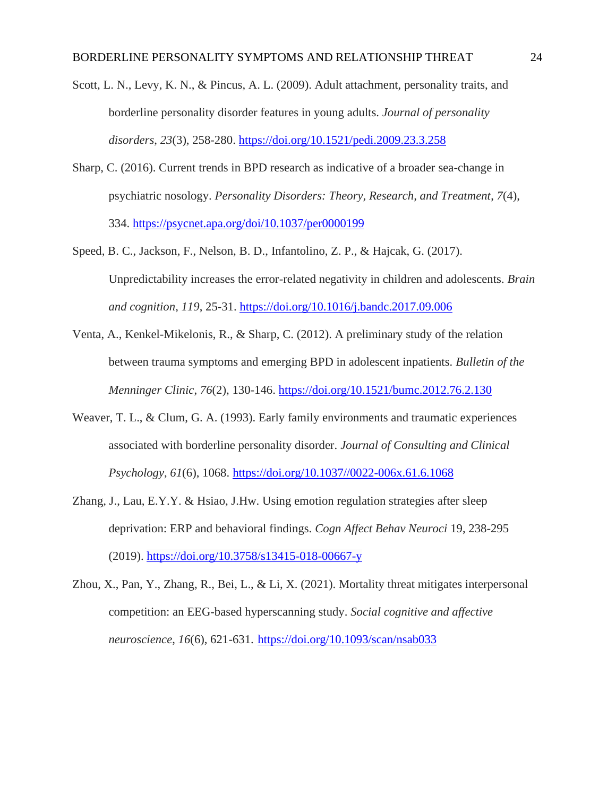Scott, L. N., Levy, K. N., & Pincus, A. L. (2009). Adult attachment, personality traits, and borderline personality disorder features in young adults. *Journal of personality disorders*, *23*(3), 258-280.<https://doi.org/10.1521/pedi.2009.23.3.258>

- Sharp, C. (2016). Current trends in BPD research as indicative of a broader sea-change in psychiatric nosology. *Personality Disorders: Theory, Research, and Treatment*, *7*(4), 334.<https://psycnet.apa.org/doi/10.1037/per0000199>
- Speed, B. C., Jackson, F., Nelson, B. D., Infantolino, Z. P., & Hajcak, G. (2017). Unpredictability increases the error-related negativity in children and adolescents. *Brain and cognition*, *119*, 25-31.<https://doi.org/10.1016/j.bandc.2017.09.006>
- Venta, A., Kenkel-Mikelonis, R., & Sharp, C. (2012). A preliminary study of the relation between trauma symptoms and emerging BPD in adolescent inpatients. *Bulletin of the Menninger Clinic*, *76*(2), 130-146.<https://doi.org/10.1521/bumc.2012.76.2.130>
- Weaver, T. L., & Clum, G. A. (1993). Early family environments and traumatic experiences associated with borderline personality disorder. *Journal of Consulting and Clinical Psychology*, *61*(6), 1068. [https://doi.org/10.1037//0022-006x.61.6.1068](https://doi.org/10.1037/0022-006x.61.6.1068)
- Zhang, J., Lau, E.Y.Y. & Hsiao, J.Hw. Using emotion regulation strategies after sleep deprivation: ERP and behavioral findings. *Cogn Affect Behav Neuroci* 19, 238-295 (2019).<https://doi.org/10.3758/s13415-018-00667-y>
- Zhou, X., Pan, Y., Zhang, R., Bei, L., & Li, X. (2021). Mortality threat mitigates interpersonal competition: an EEG-based hyperscanning study. *Social cognitive and affective neuroscience*, *16*(6), 621-631. <https://doi.org/10.1093/scan/nsab033>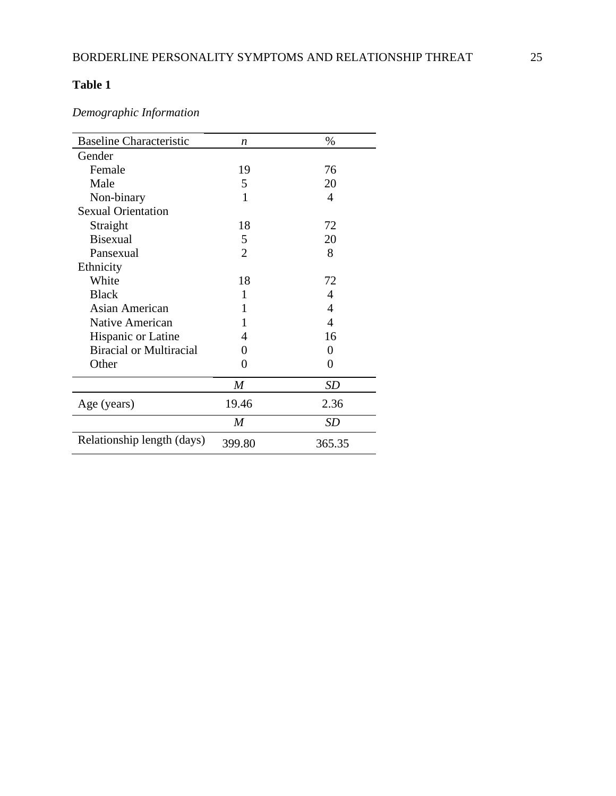# **Table 1**

*Demographic Information*

| <b>Baseline Characteristic</b> | n                | %                        |
|--------------------------------|------------------|--------------------------|
| Gender                         |                  |                          |
| Female                         | 19               | 76                       |
| Male                           | 5                | 20                       |
| Non-binary                     | 1                | 4                        |
| <b>Sexual Orientation</b>      |                  |                          |
| Straight                       | 18               | 72                       |
| <b>Bisexual</b>                | 5                | 20                       |
| Pansexual                      | $\overline{2}$   | 8                        |
| Ethnicity                      |                  |                          |
| White                          | 18               | 72                       |
| <b>Black</b>                   | 1                | 4                        |
| Asian American                 | 1                | 4                        |
| Native American                |                  | $\overline{\mathcal{A}}$ |
| Hispanic or Latine             | 4                | 16                       |
| <b>Biracial or Multiracial</b> | $_{0}$           | $\theta$                 |
| Other                          | 0                | 0                        |
|                                | M                | <b>SD</b>                |
| Age (years)                    | 19.46            | 2.36                     |
|                                | $\boldsymbol{M}$ | <b>SD</b>                |
| Relationship length (days)     | 399.80           | 365.35                   |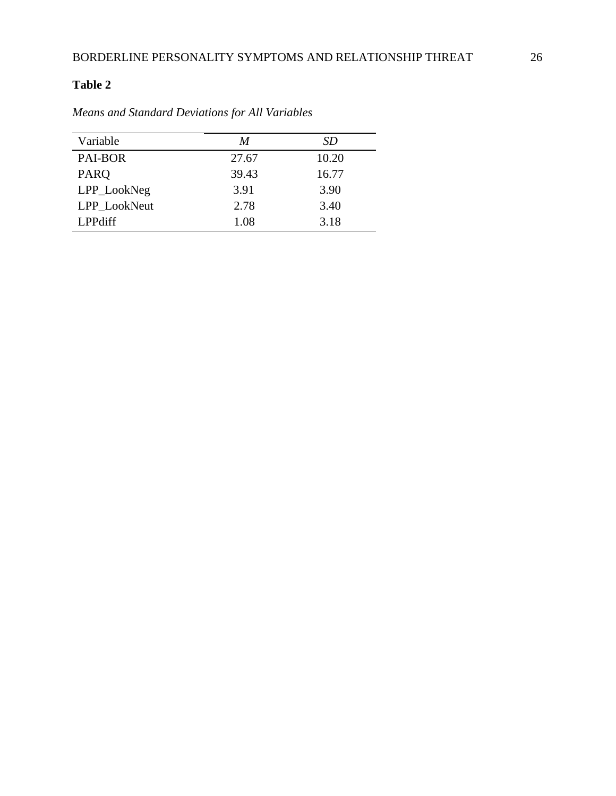# **Table 2**

| Variable       | M     | SD    |
|----------------|-------|-------|
| PAI-BOR        | 27.67 | 10.20 |
| <b>PARO</b>    | 39.43 | 16.77 |
| LPP_LookNeg    | 3.91  | 3.90  |
| LPP_LookNeut   | 2.78  | 3.40  |
| <b>LPPdiff</b> | 1.08  | 3.18  |

*Means and Standard Deviations for All Variables*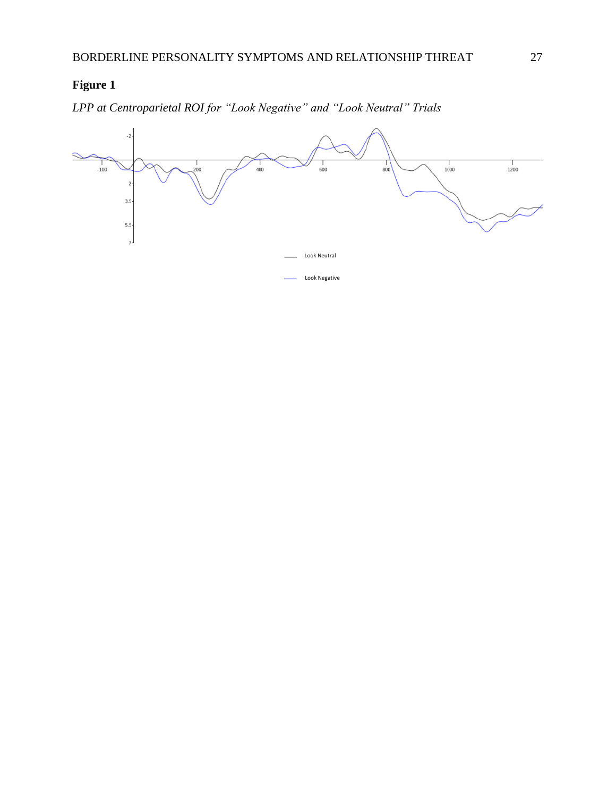# **Figure 1**

*LPP at Centroparietal ROI for "Look Negative" and "Look Neutral" Trials*